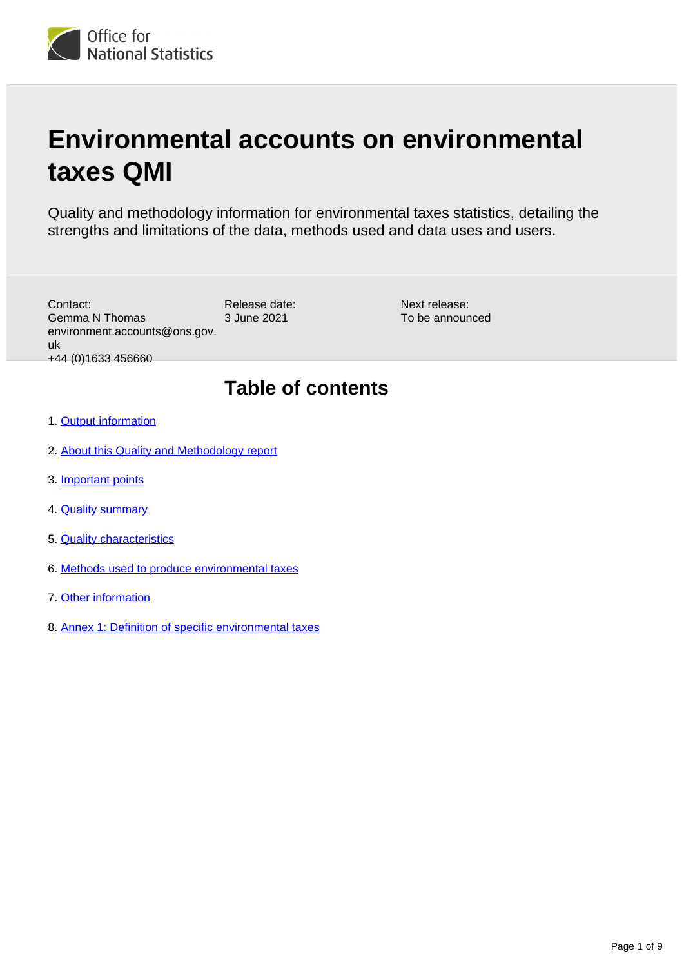

# **Environmental accounts on environmental taxes QMI**

Quality and methodology information for environmental taxes statistics, detailing the strengths and limitations of the data, methods used and data uses and users.

Release date: 3 June 2021 Contact: Gemma N Thomas environment.accounts@ons.gov. uk +44 (0)1633 456660

Next release: To be announced

### **Table of contents**

- 1. [Output information](#page-1-0)
- 2. [About this Quality and Methodology report](#page-1-1)
- 3. [Important points](#page-1-2)
- 4. [Quality summary](#page-1-3)
- 5. [Quality characteristics](#page-2-0)
- 6. [Methods used to produce environmental taxes](#page-4-0)
- 7. [Other information](#page-6-0)
- 8. [Annex 1: Definition of specific environmental taxes](#page-7-0)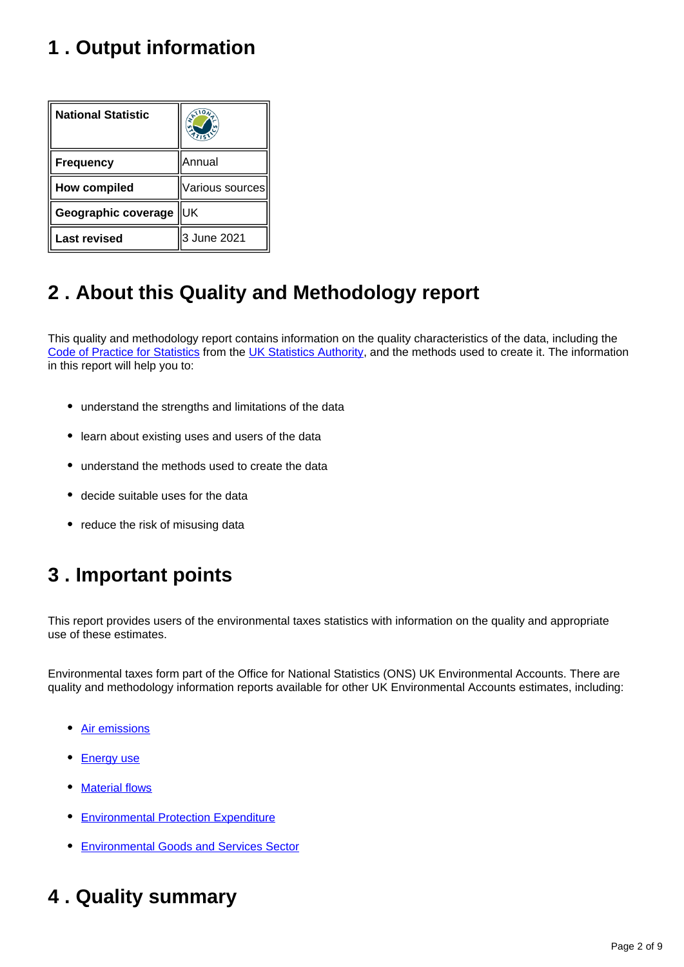### <span id="page-1-0"></span>**1 . Output information**

| <b>National Statistic</b> |                 |
|---------------------------|-----------------|
| <b>Frequency</b>          | Annual          |
| <b>How compiled</b>       | Various sources |
| Geographic coverage       | lUК             |
| <b>Last revised</b>       | 3 June 2021     |

## <span id="page-1-1"></span>**2 . About this Quality and Methodology report**

This quality and methodology report contains information on the quality characteristics of the data, including the [Code of Practice for Statistics](https://code.statisticsauthority.gov.uk/the-code/) from the [UK Statistics Authority,](https://uksa.statisticsauthority.gov.uk/) and the methods used to create it. The information in this report will help you to:

- understand the strengths and limitations of the data
- learn about existing uses and users of the data
- understand the methods used to create the data
- decide suitable uses for the data
- reduce the risk of misusing data

### <span id="page-1-2"></span>**3 . Important points**

This report provides users of the environmental taxes statistics with information on the quality and appropriate use of these estimates.

Environmental taxes form part of the Office for National Statistics (ONS) UK Environmental Accounts. There are quality and methodology information reports available for other UK Environmental Accounts estimates, including:

- [Air emissions](https://www.ons.gov.uk/economy/environmentalaccounts/methodologies/environmentalaccountsonairemissionsqmi)
- [Energy use](https://www.ons.gov.uk/economy/environmentalaccounts/methodologies/environmentalaccountsonenergyqmi)
- **[Material flows](https://www.ons.gov.uk/economy/environmentalaccounts/methodologies/environmentalaccountsonmaterialflowsqmi)**
- **[Environmental Protection Expenditure](https://www.ons.gov.uk/economy/environmentalaccounts/bulletins/environmentalprotectionexpenditureuk/2017#quality-and-methodology)**
- [Environmental Goods and Services Sector](https://www.ons.gov.uk/economy/environmentalaccounts/methodologies/environmentalaccountsontheenvironmentalgoodsandservicessectoregssqmi)

### <span id="page-1-3"></span>**4 . Quality summary**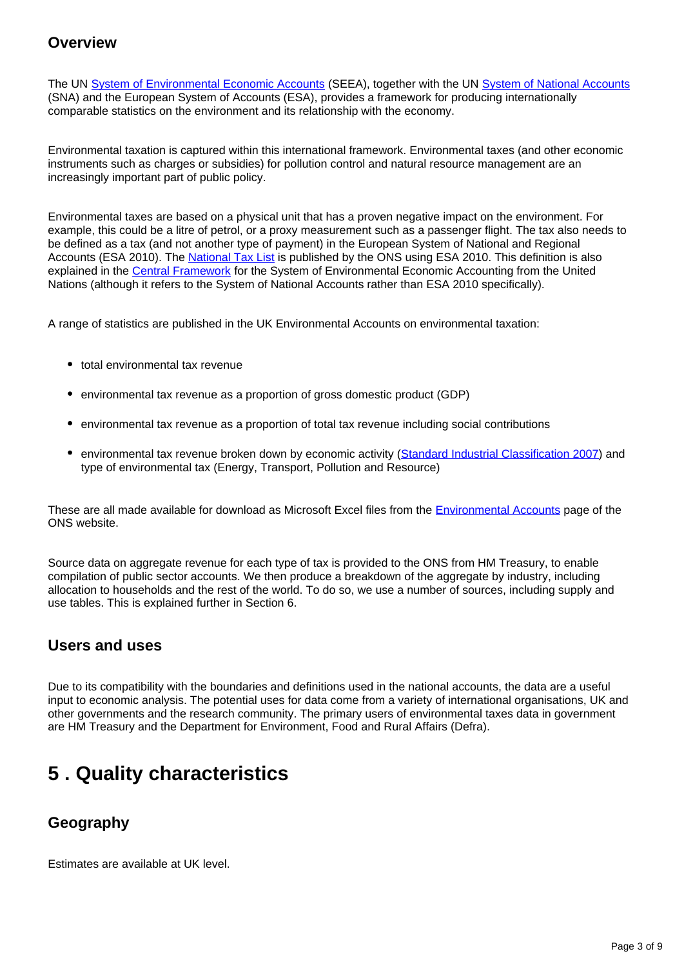#### **Overview**

The UN [System of Environmental Economic Accounts](https://seea.un.org/) (SEEA), together with the UN [System of National Accounts](https://unstats.un.org/unsd/nationalaccount/sna2008.asp) (SNA) and the European System of Accounts (ESA), provides a framework for producing internationally comparable statistics on the environment and its relationship with the economy.

Environmental taxation is captured within this international framework. Environmental taxes (and other economic instruments such as charges or subsidies) for pollution control and natural resource management are an increasingly important part of public policy.

Environmental taxes are based on a physical unit that has a proven negative impact on the environment. For example, this could be a litre of petrol, or a proxy measurement such as a passenger flight. The tax also needs to be defined as a tax (and not another type of payment) in the European System of National and Regional Accounts (ESA 2010). The [National Tax List](https://www.ons.gov.uk/economy/governmentpublicsectorandtaxes/publicspending/datasets/esatable9listoftaxes) is published by the ONS using ESA 2010. This definition is also explained in the [Central Framework](https://seea.un.org/content/seea-central-framework) for the System of Environmental Economic Accounting from the United Nations (although it refers to the System of National Accounts rather than ESA 2010 specifically).

A range of statistics are published in the UK Environmental Accounts on environmental taxation:

- total environmental tax revenue
- environmental tax revenue as a proportion of gross domestic product (GDP)
- environmental tax revenue as a proportion of total tax revenue including social contributions
- environmental tax revenue broken down by economic activity ([Standard Industrial Classification 2007](https://www.ons.gov.uk/methodology/classificationsandstandards/ukstandardindustrialclassificationofeconomicactivities/uksic2007)) and type of environmental tax (Energy, Transport, Pollution and Resource)

These are all made available for download as Microsoft Excel files from the [Environmental Accounts](https://www.ons.gov.uk/economy/environmentalaccounts/datalist) page of the ONS website.

Source data on aggregate revenue for each type of tax is provided to the ONS from HM Treasury, to enable compilation of public sector accounts. We then produce a breakdown of the aggregate by industry, including allocation to households and the rest of the world. To do so, we use a number of sources, including supply and use tables. This is explained further in Section 6.

#### **Users and uses**

Due to its compatibility with the boundaries and definitions used in the national accounts, the data are a useful input to economic analysis. The potential uses for data come from a variety of international organisations, UK and other governments and the research community. The primary users of environmental taxes data in government are HM Treasury and the Department for Environment, Food and Rural Affairs (Defra).

### <span id="page-2-0"></span>**5 . Quality characteristics**

### **Geography**

Estimates are available at UK level.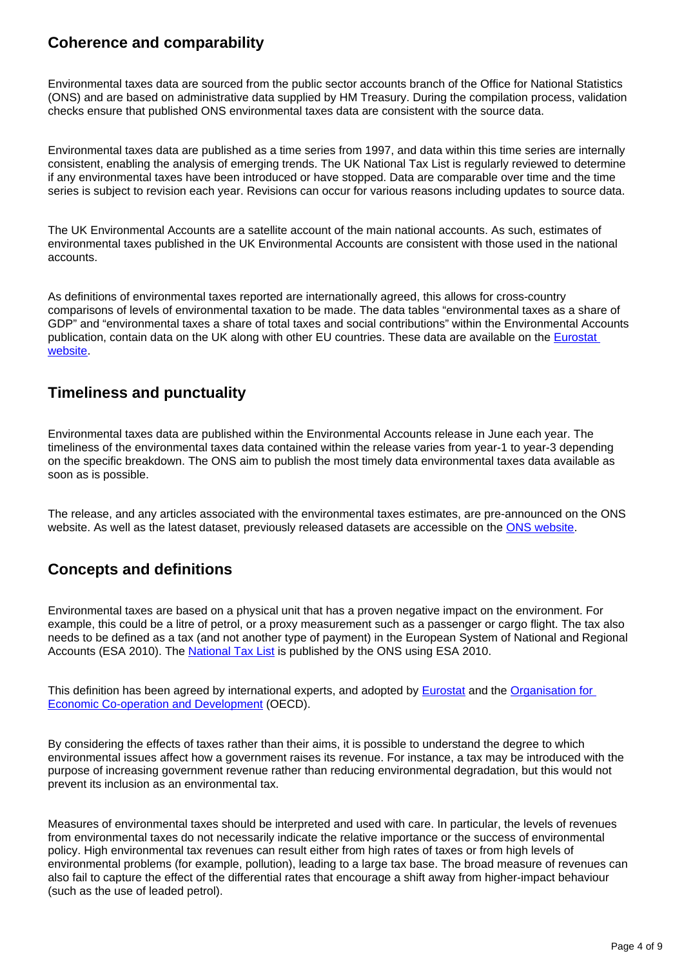### **Coherence and comparability**

Environmental taxes data are sourced from the public sector accounts branch of the Office for National Statistics (ONS) and are based on administrative data supplied by HM Treasury. During the compilation process, validation checks ensure that published ONS environmental taxes data are consistent with the source data.

Environmental taxes data are published as a time series from 1997, and data within this time series are internally consistent, enabling the analysis of emerging trends. The UK National Tax List is regularly reviewed to determine if any environmental taxes have been introduced or have stopped. Data are comparable over time and the time series is subject to revision each year. Revisions can occur for various reasons including updates to source data.

The UK Environmental Accounts are a satellite account of the main national accounts. As such, estimates of environmental taxes published in the UK Environmental Accounts are consistent with those used in the national accounts.

As definitions of environmental taxes reported are internationally agreed, this allows for cross-country comparisons of levels of environmental taxation to be made. The data tables "environmental taxes as a share of GDP" and "environmental taxes a share of total taxes and social contributions" within the Environmental Accounts publication, contain data on the UK along with other EU countries. These data are available on the **Eurostat** [website](https://appsso.eurostat.ec.europa.eu/nui/show.do?dataset=env_ac_taxind2&lang=en).

### **Timeliness and punctuality**

Environmental taxes data are published within the Environmental Accounts release in June each year. The timeliness of the environmental taxes data contained within the release varies from year-1 to year-3 depending on the specific breakdown. The ONS aim to publish the most timely data environmental taxes data available as soon as is possible.

The release, and any articles associated with the environmental taxes estimates, are pre-announced on the ONS website. As well as the latest dataset, previously released datasets are accessible on the [ONS website.](https://www.ons.gov.uk/economy/environmentalaccounts/datasets/ukenvironmentalaccountsenvironmentaltaxes)

### **Concepts and definitions**

Environmental taxes are based on a physical unit that has a proven negative impact on the environment. For example, this could be a litre of petrol, or a proxy measurement such as a passenger or cargo flight. The tax also needs to be defined as a tax (and not another type of payment) in the European System of National and Regional Accounts (ESA 2010). The [National Tax List](https://www.ons.gov.uk/economy/governmentpublicsectorandtaxes/publicspending/datasets/esatable9listoftaxes) is published by the ONS using ESA 2010.

This definition has been agreed by international experts, and adopted by **Eurostat** and the **Organisation for** [Economic Co-operation and Development](https://stats.oecd.org/Index.aspx?DataSetCode=ERTR) (OECD).

By considering the effects of taxes rather than their aims, it is possible to understand the degree to which environmental issues affect how a government raises its revenue. For instance, a tax may be introduced with the purpose of increasing government revenue rather than reducing environmental degradation, but this would not prevent its inclusion as an environmental tax.

Measures of environmental taxes should be interpreted and used with care. In particular, the levels of revenues from environmental taxes do not necessarily indicate the relative importance or the success of environmental policy. High environmental tax revenues can result either from high rates of taxes or from high levels of environmental problems (for example, pollution), leading to a large tax base. The broad measure of revenues can also fail to capture the effect of the differential rates that encourage a shift away from higher-impact behaviour (such as the use of leaded petrol).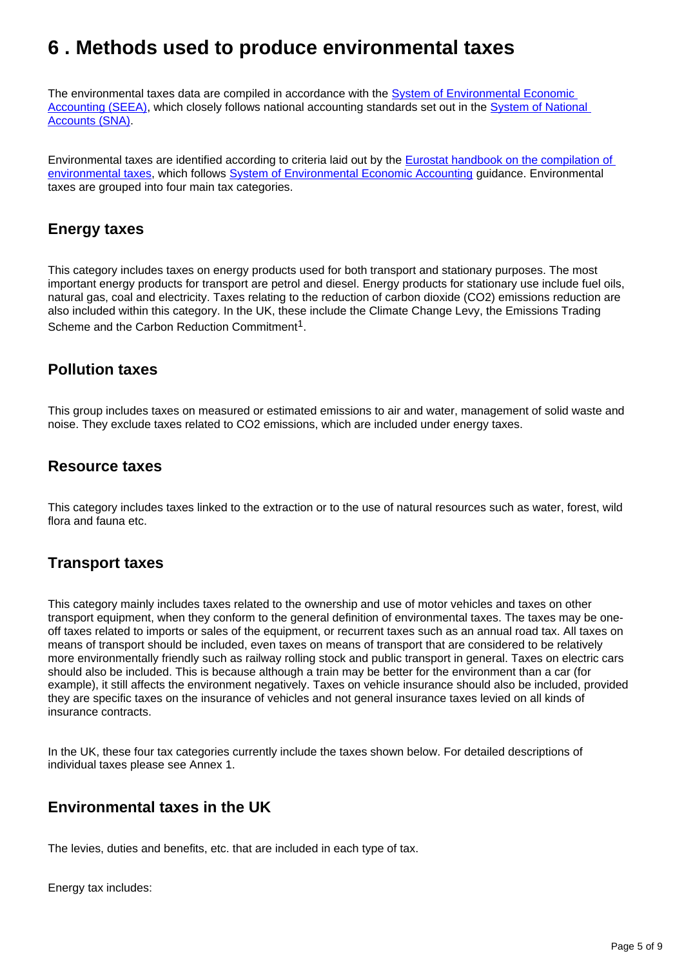### <span id="page-4-0"></span>**6 . Methods used to produce environmental taxes**

The environmental taxes data are compiled in accordance with the System of Environmental Economic [Accounting \(SEEA\)](http://unstats.un.org/unsd/envaccounting/seea.asp), which closely follows national accounting standards set out in the System of National [Accounts \(SNA\).](https://unstats.un.org/unsd/nationalaccount/sna2008.asp)

Environmental taxes are identified according to criteria laid out by the [Eurostat handbook on the compilation of](https://ec.europa.eu/eurostat/documents/3859598/5936129/KS-GQ-13-005-EN.PDF/706eda9f-93a8-44ab-900c-ba8c2557ddb0?version=1.0)  [environmental taxes](https://ec.europa.eu/eurostat/documents/3859598/5936129/KS-GQ-13-005-EN.PDF/706eda9f-93a8-44ab-900c-ba8c2557ddb0?version=1.0), which follows [System of Environmental Economic Accounting](https://seea.un.org/content/seea-central-framework) guidance. Environmental taxes are grouped into four main tax categories.

#### **Energy taxes**

This category includes taxes on energy products used for both transport and stationary purposes. The most important energy products for transport are petrol and diesel. Energy products for stationary use include fuel oils, natural gas, coal and electricity. Taxes relating to the reduction of carbon dioxide (CO2) emissions reduction are also included within this category. In the UK, these include the Climate Change Levy, the Emissions Trading Scheme and the Carbon Reduction Commitment<sup>1</sup>.

#### **Pollution taxes**

This group includes taxes on measured or estimated emissions to air and water, management of solid waste and noise. They exclude taxes related to CO2 emissions, which are included under energy taxes.

#### **Resource taxes**

This category includes taxes linked to the extraction or to the use of natural resources such as water, forest, wild flora and fauna etc.

#### **Transport taxes**

This category mainly includes taxes related to the ownership and use of motor vehicles and taxes on other transport equipment, when they conform to the general definition of environmental taxes. The taxes may be oneoff taxes related to imports or sales of the equipment, or recurrent taxes such as an annual road tax. All taxes on means of transport should be included, even taxes on means of transport that are considered to be relatively more environmentally friendly such as railway rolling stock and public transport in general. Taxes on electric cars should also be included. This is because although a train may be better for the environment than a car (for example), it still affects the environment negatively. Taxes on vehicle insurance should also be included, provided they are specific taxes on the insurance of vehicles and not general insurance taxes levied on all kinds of insurance contracts.

In the UK, these four tax categories currently include the taxes shown below. For detailed descriptions of individual taxes please see Annex 1.

### **Environmental taxes in the UK**

The levies, duties and benefits, etc. that are included in each type of tax.

Energy tax includes: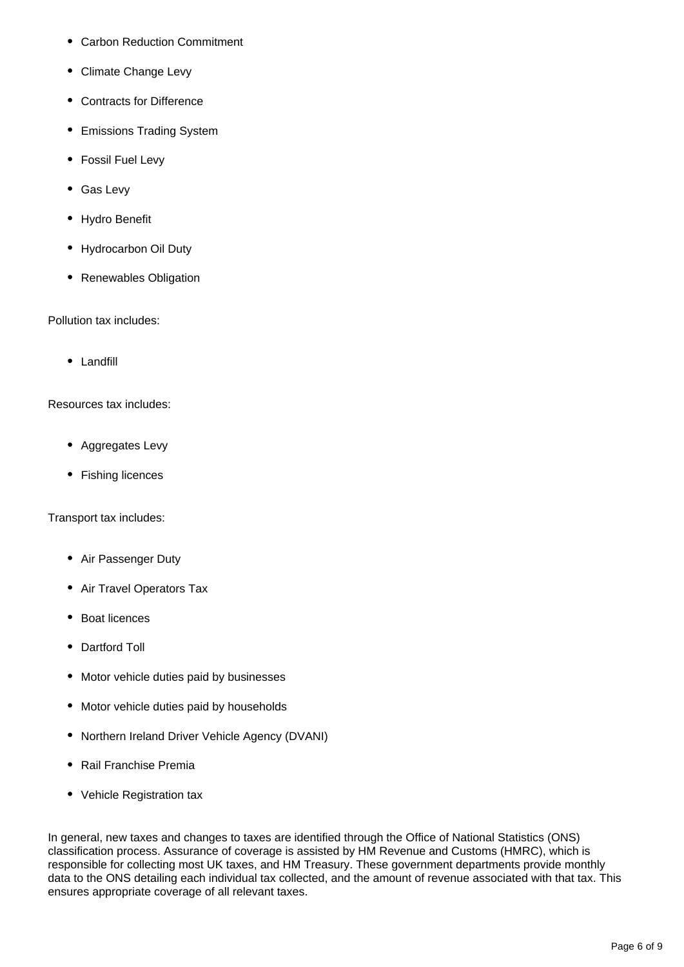- Carbon Reduction Commitment
- Climate Change Levy
- Contracts for Difference
- Emissions Trading System
- Fossil Fuel Levy
- Gas Levy
- Hydro Benefit
- Hydrocarbon Oil Duty
- Renewables Obligation

Pollution tax includes:

• Landfill

Resources tax includes:

- Aggregates Levy
- Fishing licences

Transport tax includes:

- Air Passenger Duty
- Air Travel Operators Tax
- Boat licences
- Dartford Toll
- Motor vehicle duties paid by businesses
- Motor vehicle duties paid by households
- Northern Ireland Driver Vehicle Agency (DVANI)
- Rail Franchise Premia
- Vehicle Registration tax

In general, new taxes and changes to taxes are identified through the Office of National Statistics (ONS) classification process. Assurance of coverage is assisted by HM Revenue and Customs (HMRC), which is responsible for collecting most UK taxes, and HM Treasury. These government departments provide monthly data to the ONS detailing each individual tax collected, and the amount of revenue associated with that tax. This ensures appropriate coverage of all relevant taxes.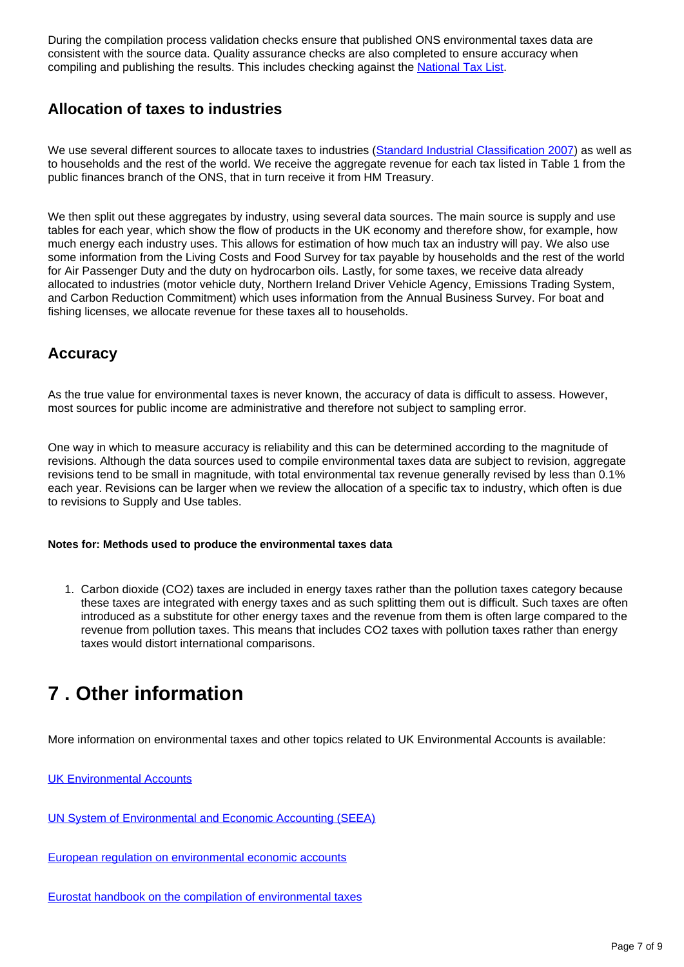During the compilation process validation checks ensure that published ONS environmental taxes data are consistent with the source data. Quality assurance checks are also completed to ensure accuracy when compiling and publishing the results. This includes checking against the **National Tax List.** 

### **Allocation of taxes to industries**

We use several different sources to allocate taxes to industries ([Standard Industrial Classification 2007\)](https://www.ons.gov.uk/methodology/classificationsandstandards/ukstandardindustrialclassificationofeconomicactivities/uksic2007) as well as to households and the rest of the world. We receive the aggregate revenue for each tax listed in Table 1 from the public finances branch of the ONS, that in turn receive it from HM Treasury.

We then split out these aggregates by industry, using several data sources. The main source is supply and use tables for each year, which show the flow of products in the UK economy and therefore show, for example, how much energy each industry uses. This allows for estimation of how much tax an industry will pay. We also use some information from the Living Costs and Food Survey for tax payable by households and the rest of the world for Air Passenger Duty and the duty on hydrocarbon oils. Lastly, for some taxes, we receive data already allocated to industries (motor vehicle duty, Northern Ireland Driver Vehicle Agency, Emissions Trading System, and Carbon Reduction Commitment) which uses information from the Annual Business Survey. For boat and fishing licenses, we allocate revenue for these taxes all to households.

### **Accuracy**

As the true value for environmental taxes is never known, the accuracy of data is difficult to assess. However, most sources for public income are administrative and therefore not subject to sampling error.

One way in which to measure accuracy is reliability and this can be determined according to the magnitude of revisions. Although the data sources used to compile environmental taxes data are subject to revision, aggregate revisions tend to be small in magnitude, with total environmental tax revenue generally revised by less than 0.1% each year. Revisions can be larger when we review the allocation of a specific tax to industry, which often is due to revisions to Supply and Use tables.

#### **Notes for: Methods used to produce the environmental taxes data**

1. Carbon dioxide (CO2) taxes are included in energy taxes rather than the pollution taxes category because these taxes are integrated with energy taxes and as such splitting them out is difficult. Such taxes are often introduced as a substitute for other energy taxes and the revenue from them is often large compared to the revenue from pollution taxes. This means that includes CO2 taxes with pollution taxes rather than energy taxes would distort international comparisons.

### <span id="page-6-0"></span>**7 . Other information**

More information on environmental taxes and other topics related to UK Environmental Accounts is available:

[UK Environmental Accounts](https://www.ons.gov.uk/economy/environmentalaccounts)

[UN System of Environmental and Economic Accounting \(SEEA\)](https://seea.un.org/)

[European regulation on environmental economic accounts](https://eur-lex.europa.eu/legal-content/EN/LSU/?uri=CELEX:32011R0691)

[Eurostat handbook on the compilation of environmental taxes](https://ec.europa.eu/eurostat/documents/3859598/5936129/KS-GQ-13-005-EN.PDF/706eda9f-93a8-44ab-900c-ba8c2557ddb0?version=1.0)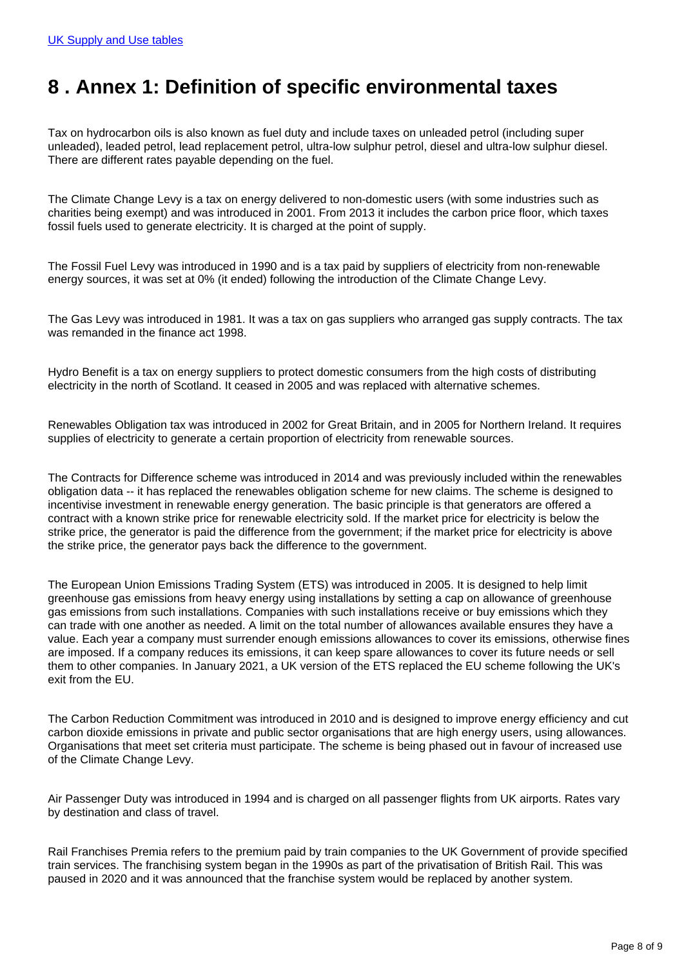### <span id="page-7-0"></span>**8 . Annex 1: Definition of specific environmental taxes**

Tax on hydrocarbon oils is also known as fuel duty and include taxes on unleaded petrol (including super unleaded), leaded petrol, lead replacement petrol, ultra-low sulphur petrol, diesel and ultra-low sulphur diesel. There are different rates payable depending on the fuel.

The Climate Change Levy is a tax on energy delivered to non-domestic users (with some industries such as charities being exempt) and was introduced in 2001. From 2013 it includes the carbon price floor, which taxes fossil fuels used to generate electricity. It is charged at the point of supply.

The Fossil Fuel Levy was introduced in 1990 and is a tax paid by suppliers of electricity from non-renewable energy sources, it was set at 0% (it ended) following the introduction of the Climate Change Levy.

The Gas Levy was introduced in 1981. It was a tax on gas suppliers who arranged gas supply contracts. The tax was remanded in the finance act 1998.

Hydro Benefit is a tax on energy suppliers to protect domestic consumers from the high costs of distributing electricity in the north of Scotland. It ceased in 2005 and was replaced with alternative schemes.

Renewables Obligation tax was introduced in 2002 for Great Britain, and in 2005 for Northern Ireland. It requires supplies of electricity to generate a certain proportion of electricity from renewable sources.

The Contracts for Difference scheme was introduced in 2014 and was previously included within the renewables obligation data -- it has replaced the renewables obligation scheme for new claims. The scheme is designed to incentivise investment in renewable energy generation. The basic principle is that generators are offered a contract with a known strike price for renewable electricity sold. If the market price for electricity is below the strike price, the generator is paid the difference from the government; if the market price for electricity is above the strike price, the generator pays back the difference to the government.

The European Union Emissions Trading System (ETS) was introduced in 2005. It is designed to help limit greenhouse gas emissions from heavy energy using installations by setting a cap on allowance of greenhouse gas emissions from such installations. Companies with such installations receive or buy emissions which they can trade with one another as needed. A limit on the total number of allowances available ensures they have a value. Each year a company must surrender enough emissions allowances to cover its emissions, otherwise fines are imposed. If a company reduces its emissions, it can keep spare allowances to cover its future needs or sell them to other companies. In January 2021, a UK version of the ETS replaced the EU scheme following the UK's exit from the EU.

The Carbon Reduction Commitment was introduced in 2010 and is designed to improve energy efficiency and cut carbon dioxide emissions in private and public sector organisations that are high energy users, using allowances. Organisations that meet set criteria must participate. The scheme is being phased out in favour of increased use of the Climate Change Levy.

Air Passenger Duty was introduced in 1994 and is charged on all passenger flights from UK airports. Rates vary by destination and class of travel.

Rail Franchises Premia refers to the premium paid by train companies to the UK Government of provide specified train services. The franchising system began in the 1990s as part of the privatisation of British Rail. This was paused in 2020 and it was announced that the franchise system would be replaced by another system.